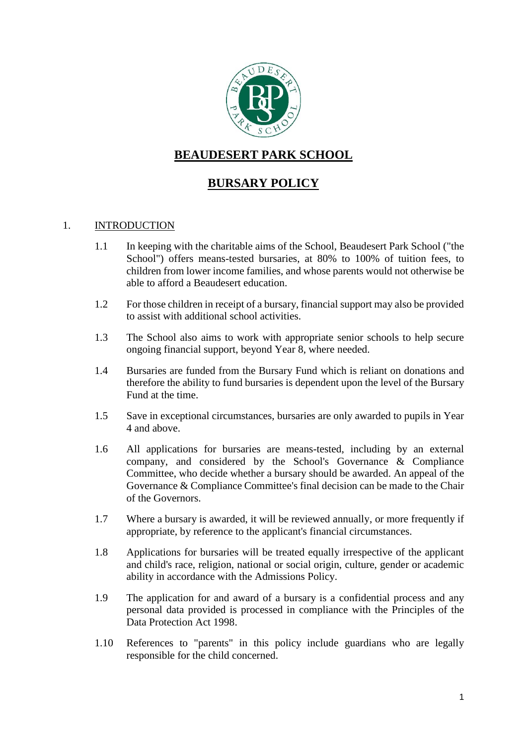

# **BEAUDESERT PARK SCHOOL**

## **BURSARY POLICY**

#### 1. INTRODUCTION

- 1.1 In keeping with the charitable aims of the School, Beaudesert Park School ("the School") offers means-tested bursaries, at 80% to 100% of tuition fees, to children from lower income families, and whose parents would not otherwise be able to afford a Beaudesert education.
- 1.2 For those children in receipt of a bursary, financial support may also be provided to assist with additional school activities.
- 1.3 The School also aims to work with appropriate senior schools to help secure ongoing financial support, beyond Year 8, where needed.
- 1.4 Bursaries are funded from the Bursary Fund which is reliant on donations and therefore the ability to fund bursaries is dependent upon the level of the Bursary Fund at the time.
- 1.5 Save in exceptional circumstances, bursaries are only awarded to pupils in Year 4 and above.
- 1.6 All applications for bursaries are means-tested, including by an external company, and considered by the School's Governance & Compliance Committee, who decide whether a bursary should be awarded. An appeal of the Governance & Compliance Committee's final decision can be made to the Chair of the Governors.
- 1.7 Where a bursary is awarded, it will be reviewed annually, or more frequently if appropriate, by reference to the applicant's financial circumstances.
- 1.8 Applications for bursaries will be treated equally irrespective of the applicant and child's race, religion, national or social origin, culture, gender or academic ability in accordance with the Admissions Policy.
- 1.9 The application for and award of a bursary is a confidential process and any personal data provided is processed in compliance with the Principles of the Data Protection Act 1998.
- 1.10 References to "parents" in this policy include guardians who are legally responsible for the child concerned.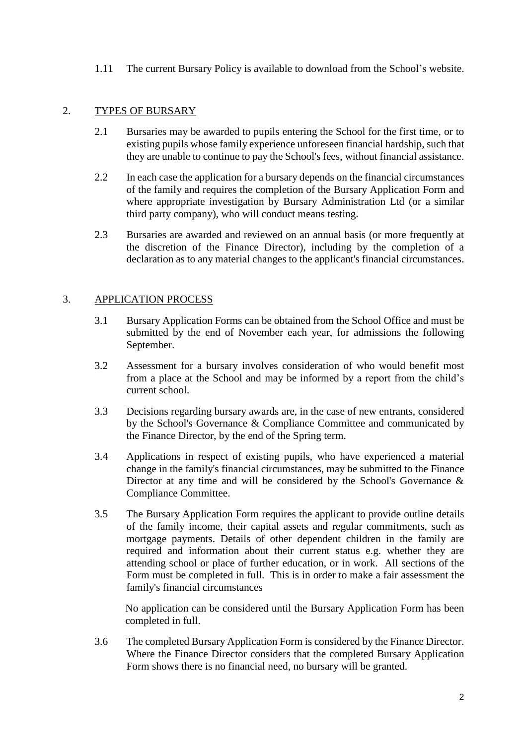1.11 The current Bursary Policy is available to download from the School's website.

## 2. TYPES OF BURSARY

- 2.1 Bursaries may be awarded to pupils entering the School for the first time, or to existing pupils whose family experience unforeseen financial hardship, such that they are unable to continue to pay the School's fees, without financial assistance.
- 2.2 In each case the application for a bursary depends on the financial circumstances of the family and requires the completion of the Bursary Application Form and where appropriate investigation by Bursary Administration Ltd (or a similar third party company), who will conduct means testing.
- 2.3 Bursaries are awarded and reviewed on an annual basis (or more frequently at the discretion of the Finance Director), including by the completion of a declaration as to any material changes to the applicant's financial circumstances.

## 3. APPLICATION PROCESS

- 3.1 Bursary Application Forms can be obtained from the School Office and must be submitted by the end of November each year, for admissions the following September.
- 3.2 Assessment for a bursary involves consideration of who would benefit most from a place at the School and may be informed by a report from the child's current school.
- 3.3 Decisions regarding bursary awards are, in the case of new entrants, considered by the School's Governance & Compliance Committee and communicated by the Finance Director, by the end of the Spring term.
- 3.4 Applications in respect of existing pupils, who have experienced a material change in the family's financial circumstances, may be submitted to the Finance Director at any time and will be considered by the School's Governance  $\&$ Compliance Committee.
- 3.5 The Bursary Application Form requires the applicant to provide outline details of the family income, their capital assets and regular commitments, such as mortgage payments. Details of other dependent children in the family are required and information about their current status e.g. whether they are attending school or place of further education, or in work. All sections of the Form must be completed in full. This is in order to make a fair assessment the family's financial circumstances

No application can be considered until the Bursary Application Form has been completed in full.

3.6 The completed Bursary Application Form is considered by the Finance Director. Where the Finance Director considers that the completed Bursary Application Form shows there is no financial need, no bursary will be granted.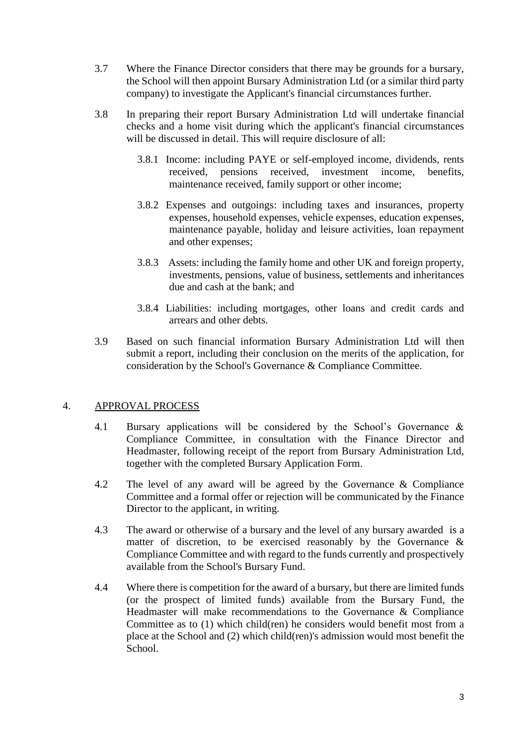- 3.7 Where the Finance Director considers that there may be grounds for a bursary, the School will then appoint Bursary Administration Ltd (or a similar third party company) to investigate the Applicant's financial circumstances further.
- 3.8 In preparing their report Bursary Administration Ltd will undertake financial checks and a home visit during which the applicant's financial circumstances will be discussed in detail. This will require disclosure of all:
	- 3.8.1 Income: including PAYE or self-employed income, dividends, rents received, pensions received, investment income, benefits, maintenance received, family support or other income;
	- 3.8.2 Expenses and outgoings: including taxes and insurances, property expenses, household expenses, vehicle expenses, education expenses, maintenance payable, holiday and leisure activities, loan repayment and other expenses;
	- 3.8.3 Assets: including the family home and other UK and foreign property, investments, pensions, value of business, settlements and inheritances due and cash at the bank; and
	- 3.8.4 Liabilities: including mortgages, other loans and credit cards and arrears and other debts.
- 3.9 Based on such financial information Bursary Administration Ltd will then submit a report, including their conclusion on the merits of the application, for consideration by the School's Governance & Compliance Committee.

#### 4. APPROVAL PROCESS

- 4.1 Bursary applications will be considered by the School's Governance & Compliance Committee, in consultation with the Finance Director and Headmaster, following receipt of the report from Bursary Administration Ltd, together with the completed Bursary Application Form.
- 4.2 The level of any award will be agreed by the Governance & Compliance Committee and a formal offer or rejection will be communicated by the Finance Director to the applicant, in writing.
- 4.3 The award or otherwise of a bursary and the level of any bursary awarded is a matter of discretion, to be exercised reasonably by the Governance  $\&$ Compliance Committee and with regard to the funds currently and prospectively available from the School's Bursary Fund.
- 4.4 Where there is competition for the award of a bursary, but there are limited funds (or the prospect of limited funds) available from the Bursary Fund, the Headmaster will make recommendations to the Governance & Compliance Committee as to (1) which child(ren) he considers would benefit most from a place at the School and (2) which child(ren)'s admission would most benefit the School.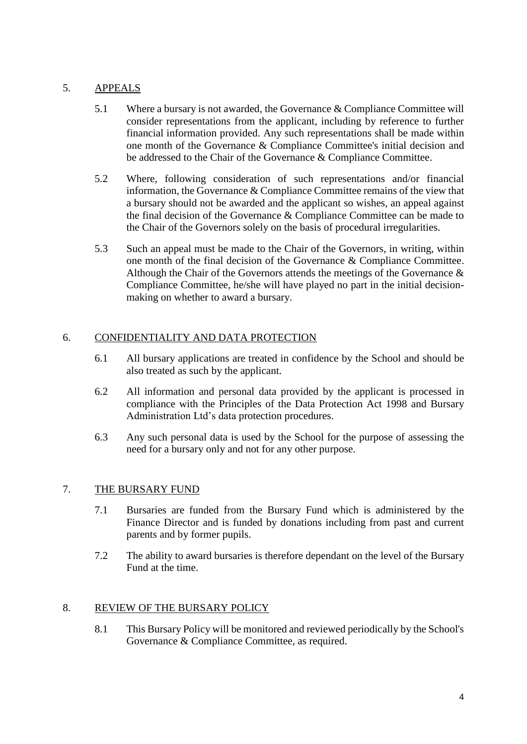### 5. APPEALS

- 5.1 Where a bursary is not awarded, the Governance & Compliance Committee will consider representations from the applicant, including by reference to further financial information provided. Any such representations shall be made within one month of the Governance & Compliance Committee's initial decision and be addressed to the Chair of the Governance & Compliance Committee.
- 5.2 Where, following consideration of such representations and/or financial information, the Governance & Compliance Committee remains of the view that a bursary should not be awarded and the applicant so wishes, an appeal against the final decision of the Governance & Compliance Committee can be made to the Chair of the Governors solely on the basis of procedural irregularities.
- 5.3 Such an appeal must be made to the Chair of the Governors, in writing, within one month of the final decision of the Governance & Compliance Committee. Although the Chair of the Governors attends the meetings of the Governance  $\&$ Compliance Committee, he/she will have played no part in the initial decisionmaking on whether to award a bursary.

## 6. CONFIDENTIALITY AND DATA PROTECTION

- 6.1 All bursary applications are treated in confidence by the School and should be also treated as such by the applicant.
- 6.2 All information and personal data provided by the applicant is processed in compliance with the Principles of the Data Protection Act 1998 and Bursary Administration Ltd's data protection procedures.
- 6.3 Any such personal data is used by the School for the purpose of assessing the need for a bursary only and not for any other purpose.

#### 7. THE BURSARY FUND

- 7.1 Bursaries are funded from the Bursary Fund which is administered by the Finance Director and is funded by donations including from past and current parents and by former pupils.
- 7.2 The ability to award bursaries is therefore dependant on the level of the Bursary Fund at the time.

#### 8. REVIEW OF THE BURSARY POLICY

8.1 This Bursary Policy will be monitored and reviewed periodically by the School's Governance & Compliance Committee, as required.